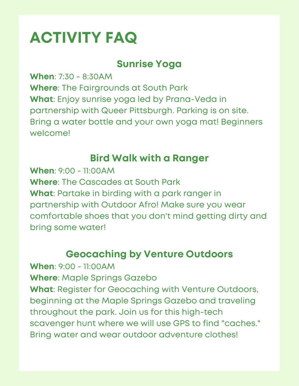# **ACTIVITY FAQ**

# **Sunrise Yoga**

**When**: 7:30 - 8:30AM **Where**: The Fairgrounds at South Park **What**: Enjoy sunrise yoga led by Prana-Veda in partnership with Queer Pittsburgh. Parking is on site. Bring a water bottle and your own yoga mat! Beginners welcome!

#### **Bird Walk with a Ranger**

**When**: 9:00 - 11:00AM **Where**: The Cascades at South Park **What**: Partake in birding with a park ranger in partnership with Outdoor Afro! Make sure you wear comfortable shoes that you don't mind getting dirty and bring some water!

## **Geocaching by Venture Outdoors**

**When**: 9:00 - 11:00AM **Where**: Maple Springs Gazebo **What**: Register for Geocaching with Venture Outdoors, beginning at the Maple Springs Gazebo and traveling throughout the park. Join us for this high-tech scavenger hunt where we will use GPS to find "caches." Bring water and wear outdoor adventure clothes!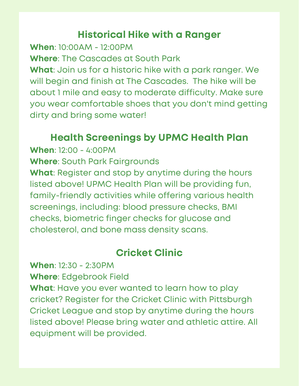# **Historical Hike with a Ranger**

**When**: 10:00AM - 12:00PM

**Where**: The Cascades at South Park

**What**: Join us for a historic hike with a park ranger. We will begin and finish at The Cascades. The hike will be about 1 mile and easy to moderate difficulty. Make sure you wear comfortable shoes that you don't mind getting dirty and bring some water!

## **Health Screenings by UPMC Health Plan**

**When**: 12:00 - 4:00PM

**Where**: South Park Fairgrounds

**What**: Register and stop by anytime during the hours listed above! UPMC Health Plan will be providing fun, family-friendly activities while offering various health screenings, including: blood pressure checks, BMI checks, biometric finger checks for glucose and cholesterol, and bone mass density scans.

#### **Cricket Clinic**

**When**: 12:30 - 2:30PM

**Where**: Edgebrook Field

**What**: Have you ever wanted to learn how to play cricket? Register for the Cricket Clinic with Pittsburgh Cricket League and stop by anytime during the hours listed above! Please bring water and athletic attire. All equipment will be provided.